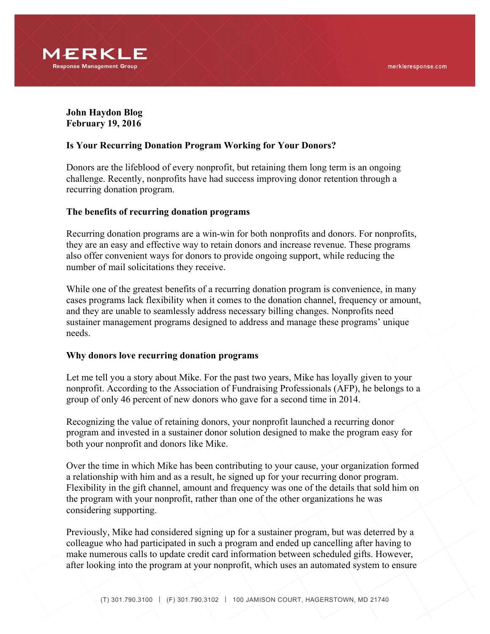

**John Haydon Blog February 19, 2016**

## **Is Your Recurring Donation Program Working for Your Donors?**

Donors are the lifeblood of every nonprofit, but retaining them long term is an ongoing challenge. Recently, nonprofits have had success improving donor retention through a recurring donation program.

#### **The benefits of recurring donation programs**

Recurring donation programs are a win-win for both nonprofits and donors. For nonprofits, they are an easy and effective way to retain donors and increase revenue. These programs also offer convenient ways for donors to provide ongoing support, while reducing the number of mail solicitations they receive.

While one of the greatest benefits of a recurring donation program is convenience, in many cases programs lack flexibility when it comes to the donation channel, frequency or amount, and they are unable to seamlessly address necessary billing changes. Nonprofits need sustainer management programs designed to address and manage these programs' unique needs.

#### **Why donors love recurring donation programs**

Let me tell you a story about Mike. For the past two years, Mike has loyally given to your nonprofit. According to the Association of Fundraising Professionals (AFP), he belongs to a group of only 46 percent of new donors who gave for a second time in 2014.

Recognizing the value of retaining donors, your nonprofit launched a recurring donor program and invested in a sustainer donor solution designed to make the program easy for both your nonprofit and donors like Mike.

Over the time in which Mike has been contributing to your cause, your organization formed a relationship with him and as a result, he signed up for your recurring donor program. Flexibility in the gift channel, amount and frequency was one of the details that sold him on the program with your nonprofit, rather than one of the other organizations he was considering supporting.

Previously, Mike had considered signing up for a sustainer program, but was deterred by a colleague who had participated in such a program and ended up cancelling after having to make numerous calls to update credit card information between scheduled gifts. However, after looking into the program at your nonprofit, which uses an automated system to ensure